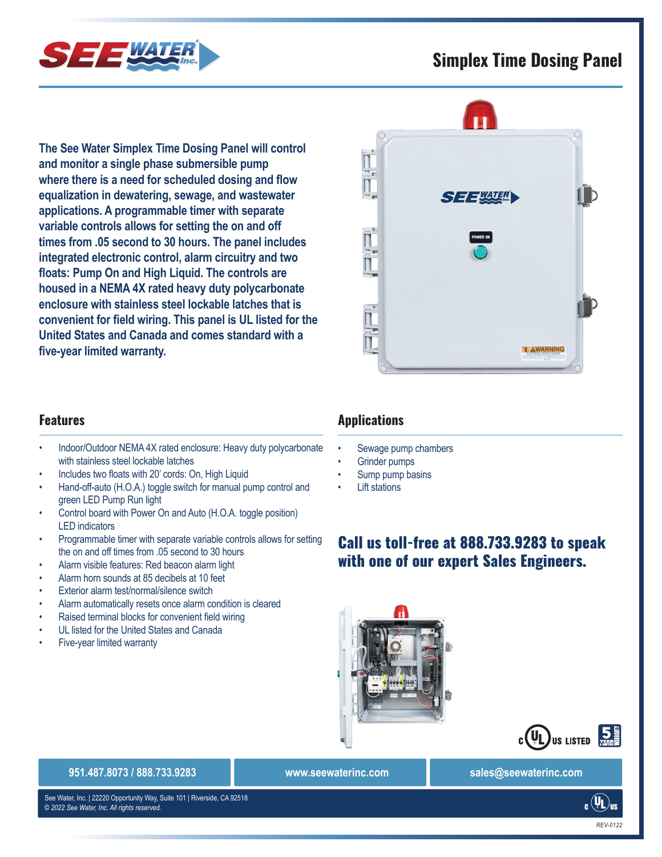## **Simplex Time Dosing Panel**



**The See Water Simplex Time Dosing Panel will control and monitor a single phase submersible pump where there is a need for scheduled dosing and flow equalization in dewatering, sewage, and wastewater applications. A programmable timer with separate variable controls allows for setting the on and off times from .05 second to 30 hours. The panel includes integrated electronic control, alarm circuitry and two floats: Pump On and High Liquid. The controls are housed in a NEMA 4X rated heavy duty polycarbonate enclosure with stainless steel lockable latches that is convenient for field wiring. This panel is UL listed for the United States and Canada and comes standard with a five-year limited warranty.**

### **Features**

- Indoor/Outdoor NEMA 4X rated enclosure: Heavy duty polycarbonate with stainless steel lockable latches
- Includes two floats with 20' cords: On, High Liquid
- Hand-off-auto (H.O.A.) toggle switch for manual pump control and green LED Pump Run light
- Control board with Power On and Auto (H.O.A. toggle position) LED indicators
- Programmable timer with separate variable controls allows for setting the on and off times from .05 second to 30 hours
- Alarm visible features: Red beacon alarm light
- Alarm horn sounds at 85 decibels at 10 feet
- Exterior alarm test/normal/silence switch
- Alarm automatically resets once alarm condition is cleared
- Raised terminal blocks for convenient field wiring
- UL listed for the United States and Canada
- Five-year limited warranty

# **Applications**

- Sewage pump chambers
- Grinder pumps
- Sump pump basins
- **Lift stations**

## Call us toll-free at 888.733.9283 to speak with one of our expert Sales Engineers.





#### **951.487.8073 / 888.733.9283 www.seewaterinc.com sales@seewaterinc.com**

698A 508A *© 2022 See Water, Inc. All rights reserved.* See Water, Inc. | 22220 Opportunity Way, Suite 101 | Riverside, CA 92518

 $_{c}\left(\mathtt{UL}\right)_{\text{us}}$